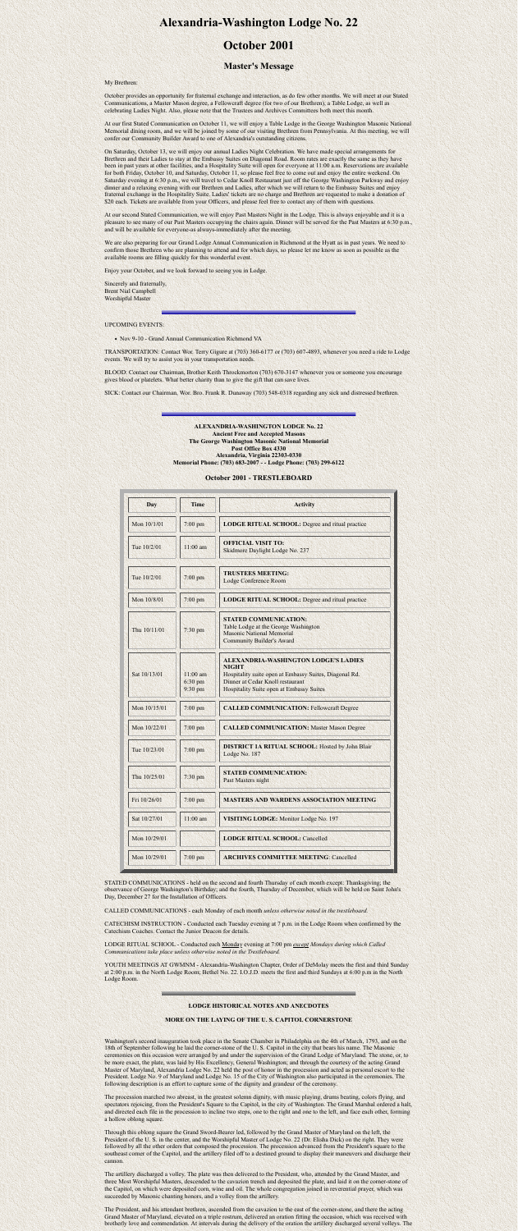# **Alexandria-Washington Lodge No. 22**

# **October 2001**

## **Master's Message**

My Brethren:

October provides an opportunity for fraternal exchange and interaction, as do few other months. We will meet at our Stated Communications, a Master Mason degree, a Fellowcraft degree (for two of our Brethren), a Table Lodge, as well as celebrating Ladies Night. Also, please note that the Trustees and Archives Committees both meet this month.

On Saturday, October 13, we will enjoy our annual Ladies Night Celebration. We have made special arrangements for Brethren and their Ladies to stay at the Embassy Suites on Diagonal Road. Room rates are exactly the same as they have been in past years at other facilities, and a Hospitality Suite will open for everyone at 11:00 a.m. Reservations are available for both Friday, October 10, and Saturday, October 11, so please feel free to come out and enjoy the entire weekend. On Saturday evening at 6:30 p.m., we will travel to Cedar Knoll Restaurant just off the George Washington Parkway and enjoy dinner and a relaxing evening with our Brethren and Ladies, after which we will return to the Embassy Suites and enjoy fraternal exchange in the Hospitality Suite. Ladies' tickets are no charge and Brethren are requested to make a donation of \$20 each. Tickets are available from your Officers, and please feel free to contact any of them with questions.

At our first Stated Communication on October 11, we will enjoy a Table Lodge in the George Washington Masonic National Memorial dining room, and we will be joined by some of our visiting Brethren from Pennsylvania. At this meeting, we will confer our Community Builder Award to one of Alexandria's outstanding citizens.

At our second Stated Communication, we will enjoy Past Masters Night in the Lodge. This is always enjoyable and it is a pleasure to see many of our Past Masters occupying the chairs again. Dinner will be served for the Past Masters at 6:30 p.m., and will be available for everyone-as always-immediately after the meeting.

We are also preparing for our Grand Lodge Annual Communication in Richmond at the Hyatt as in past years. We need to confirm those Brethren who are planning to attend and for which days, so please let me know as soon as possible as the available rooms are filling quickly for this wonderful event.

Enjoy your October, and we look forward to seeing you in Lodge.

Sincerely and fraternally, Brent Nial Campbell Worshipful Master

UPCOMING EVENTS:

• Nov 9-10 - Grand Annual Communication Richmond VA

TRANSPORTATION: Contact Wor. Terry Gigure at (703) 360-6177 or (703) 607-4893, whenever you need a ride to Lodge events. We will try to assist you in your transportation needs.

BLOOD: Contact our Chairman, Brother Keith Throckmorton (703) 670-3147 whenever you or someone you encourage gives blood or platelets. What better charity than to give the gift that can save lives.

SICK: Contact our Chairman, Wor. Bro. Frank R. Dunaway (703) 548-0318 regarding any sick and distressed brethren.

**ALEXANDRIA-WASHINGTON LODGE No. 22 Ancient Free and Accepted Masons The George Washington Masonic National Memorial Post Office Box 4330 Alexandria, Virginia 22303-0330**

#### **Memorial Phone: (703) 683-2007 - - Lodge Phone: (703) 299-6122**

## **October 2001 - TRESTLEBOARD**

| Day          | <b>Time</b>                        | <b>Activity</b>                                                                                                                                                                                              |
|--------------|------------------------------------|--------------------------------------------------------------------------------------------------------------------------------------------------------------------------------------------------------------|
| Mon 10/1/01  | $7:00$ pm                          | <b>LODGE RITUAL SCHOOL: Degree and ritual practice</b>                                                                                                                                                       |
| Tue 10/2/01  | $11:00$ am                         | <b>OFFICIAL VISIT TO:</b><br>Skidmore Daylight Lodge No. 237                                                                                                                                                 |
| Tue 10/2/01  | $7:00$ pm                          | <b>TRUSTEES MEETING:</b><br>Lodge Conference Room                                                                                                                                                            |
| Mon 10/8/01  | $7:00$ pm                          | <b>LODGE RITUAL SCHOOL: Degree and ritual practice</b>                                                                                                                                                       |
| Thu 10/11/01 | $7:30$ pm                          | <b>STATED COMMUNICATION:</b><br>Table Lodge at the George Washington<br><b>Masonic National Memorial</b><br><b>Community Builder's Award</b>                                                                 |
| Sat 10/13/01 | $11:00$ am<br>6:30 pm<br>$9:30$ pm | <b>ALEXANDRIA-WASHINGTON LODGE'S LADIES</b><br><b>NIGHT</b><br>Hospitality suite open at Embassy Suites, Diagonal Rd.<br>Dinner at Cedar Knoll restaurant<br><b>Hospitality Suite open at Embassy Suites</b> |
| Mon 10/15/01 | $7:00$ pm                          | <b>CALLED COMMUNICATION: Fellowcraft Degree</b>                                                                                                                                                              |
| Mon 10/22/01 | $7:00$ pm                          | <b>CALLED COMMUNICATION: Master Mason Degree</b>                                                                                                                                                             |
| Tue 10/23/01 | $7:00$ pm                          | <b>DISTRICT 1A RITUAL SCHOOL:</b> Hosted by John Blair<br>Lodge No. 187                                                                                                                                      |
| Thu 10/25/01 | $7:30$ pm                          | <b>STATED COMMUNICATION:</b><br>Past Masters night                                                                                                                                                           |
| Fri 10/26/01 | $7:00$ pm                          | <b>MASTERS AND WARDENS ASSOCIATION MEETING</b>                                                                                                                                                               |
| Sat 10/27/01 | $11:00$ am                         | <b>VISITING LODGE:</b> Monitor Lodge No. 197                                                                                                                                                                 |
| Mon 10/29/01 |                                    | <b>LODGE RITUAL SCHOOL: Cancelled</b>                                                                                                                                                                        |
| Mon 10/29/01 | 7:00 pm                            | <b>ARCHIVES COMMITTEE MEETING: Cancelled</b>                                                                                                                                                                 |

STATED COMMUNICATIONS - held on the second and fourth Thursday of each month except: Thanksgiving; the observance of George Washington's Birthday; and the fourth, Thursday of December, which will be held on Saint John's Day, December 27 for the Installation of Officers.

CALLED COMMUNICATIONS - each Monday of each month *unless otherwise noted in the trestleboard.*

CATECHISM INSTRUCTION - Conducted each Tuesday evening at 7 p.m. in the Lodge Room when confirmed by the

Catechism Coaches. Contact the Junior Deacon for details.

LODGE RITUAL SCHOOL - Conducted each Monday evening at 7:00 pm *except Mondays during which Called Communications take place unless otherwise noted in the Trestleboard.*

YOUTH MEETINGS AT GWMNM - Alexandria-Washington Chapter, Order of DeMolay meets the first and third Sunday at 2:00 p.m. in the North Lodge Room; Bethel No. 22. I.O.J.D. meets the first and third Sundays at 6:00 p.m in the North Lodge Room.

### **LODGE HISTORICAL NOTES AND ANECDOTES**

### **MORE ON THE LAYING OF THE U. S. CAPITOL CORNERSTONE**

Washington's second inauguration took place in the Senate Chamber in Philadelphia on the 4th of March, 1793, and on the 18th of September following he laid the corner-stone of the U. S. Capitol in the city that bears his name. The Masonic ceremonies on this occasion were arranged by and under the supervision of the Grand Lodge of Maryland. The stone, or, to be more exact, the plate, was laid by His Excellency, General Washington; and through the courtesy of the acting Grand Master of Maryland, Alexandria Lodge No. 22 held the post of honor in the procession and acted as personal escort to the President. Lodge No. 9 of Maryland and Lodge No. 15 of the City of Washington also participated in the ceremonies. The following description is an effort to capture some of the dignity and grandeur of the ceremony.

The procession marched two abreast, in the greatest solemn dignity, with music playing, drums beating, colors flying, and spectators rejoicing, from the President's Square to the Capitol, in the city of Washington. The Grand Marshal ordered a halt, and directed each file in the procession to incline two steps, one to the right and one to the left, and face each other, forming a hollow oblong square.

Through this oblong square the Grand Sword-Bearer led, followed by the Grand Master of Maryland on the left, the President of the U. S. in the center, and the Worshipful Master of Lodge No. 22 (Dr. Elisha Dick) on the right. They were followed by all the other orders that composed the procession. The procession advanced from the President's square to the southeast corner of the Capitol, and the artillery filed off to a destined ground to display their maneuvers and discharge their cannon.

The artillery discharged a volley. The plate was then delivered to the President, who, attended by the Grand Master, and three Most Worshipful Masters, descended to the cavazion trench and deposited the plate, and laid it on the corner-stone of the Capitol, on which were deposited corn, wine and oil. The whole congregation joined in reverential prayer, which was succeeded by Masonic chanting honors, and a volley from the artillery.

The President, and his attendant brethren, ascended from the cavazion to the east of the corner-stone, and there the acting Grand Master of Maryland, elevated on a triple rostrum, delivered an oration fitting the occasion, which was received with brotherly love and commendation. At intervals during the delivery of the oration the artillery discharged several volleys. The